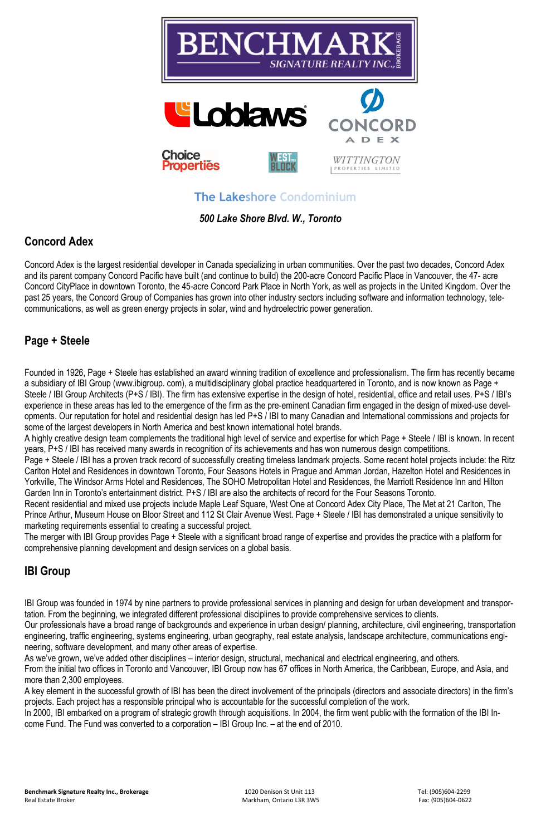

**The Lakeshore Condominium** 

*500 Lake Shore Blvd. W., Toronto* 

#### **Concord Adex**

Concord Adex is the largest residential developer in Canada specializing in urban communities. Over the past two decades, Concord Adex and its parent company Concord Pacific have built (and continue to build) the 200-acre Concord Pacific Place in Vancouver, the 47- acre Concord CityPlace in downtown Toronto, the 45-acre Concord Park Place in North York, as well as projects in the United Kingdom. Over the past 25 years, the Concord Group of Companies has grown into other industry sectors including software and information technology, telecommunications, as well as green energy projects in solar, wind and hydroelectric power generation.

#### **Page + Steele**

Founded in 1926, Page + Steele has established an award winning tradition of excellence and professionalism. The firm has recently became a subsidiary of IBI Group (www.ibigroup. com), a multidisciplinary global practice headquartered in Toronto, and is now known as Page + Steele / IBI Group Architects (P+S / IBI). The firm has extensive expertise in the design of hotel, residential, office and retail uses. P+S / IBI's experience in these areas has led to the emergence of the firm as the pre-eminent Canadian firm engaged in the design of mixed-use developments. Our reputation for hotel and residential design has led P+S / IBI to many Canadian and International commissions and projects for some of the largest developers in North America and best known international hotel brands.

A highly creative design team complements the traditional high level of service and expertise for which Page + Steele / IBI is known. In recent years, P+S / IBI has received many awards in recognition of its achievements and has won numerous design competitions.

Page + Steele / IBI has a proven track record of successfully creating timeless landmark projects. Some recent hotel projects include: the Ritz Carlton Hotel and Residences in downtown Toronto, Four Seasons Hotels in Prague and Amman Jordan, Hazelton Hotel and Residences in Yorkville, The Windsor Arms Hotel and Residences, The SOHO Metropolitan Hotel and Residences, the Marriott Residence Inn and Hilton Garden Inn in Toronto's entertainment district. P+S / IBI are also the architects of record for the Four Seasons Toronto.

Recent residential and mixed use projects include Maple Leaf Square, West One at Concord Adex City Place, The Met at 21 Carlton, The Prince Arthur, Museum House on Bloor Street and 112 St Clair Avenue West. Page + Steele / IBI has demonstrated a unique sensitivity to marketing requirements essential to creating a successful project.

The merger with IBI Group provides Page + Steele with a significant broad range of expertise and provides the practice with a platform for comprehensive planning development and design services on a global basis.

## **IBI Group**

IBI Group was founded in 1974 by nine partners to provide professional services in planning and design for urban development and transpor-

tation. From the beginning, we integrated different professional disciplines to provide comprehensive services to clients.

Our professionals have a broad range of backgrounds and experience in urban design/ planning, architecture, civil engineering, transportation engineering, traffic engineering, systems engineering, urban geography, real estate analysis, landscape architecture, communications engineering, software development, and many other areas of expertise.

As we've grown, we've added other disciplines – interior design, structural, mechanical and electrical engineering, and others.

From the initial two offices in Toronto and Vancouver, IBI Group now has 67 offices in North America, the Caribbean, Europe, and Asia, and more than 2,300 employees.

A key element in the successful growth of IBI has been the direct involvement of the principals (directors and associate directors) in the firm's projects. Each project has a responsible principal who is accountable for the successful completion of the work.

In 2000, IBI embarked on a program of strategic growth through acquisitions. In 2004, the firm went public with the formation of the IBI Income Fund. The Fund was converted to a corporation – IBI Group Inc. – at the end of 2010.

**Benchmark Signature Realty Inc., Brokerage** 1020 Denison St Unit 113 Tel: (905)604-2299 Tel: (905)604-2299 Real Estate Broker **Fax: (905)604-0622** Fax: (905)604-0622